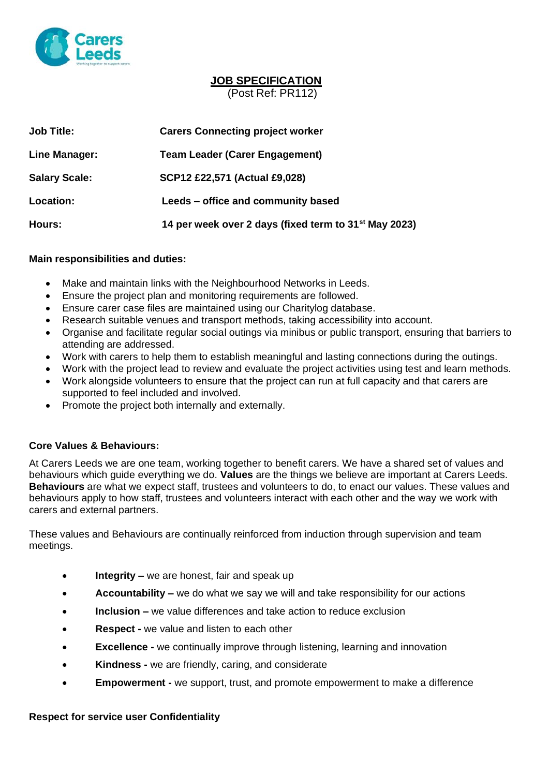

## **JOB SPECIFICATION** (Post Ref: PR112)

| Job Title:           | <b>Carers Connecting project worker</b>                           |
|----------------------|-------------------------------------------------------------------|
| Line Manager:        | <b>Team Leader (Carer Engagement)</b>                             |
| <b>Salary Scale:</b> | <b>SCP12 £22,571 (Actual £9,028)</b>                              |
| <b>Location:</b>     | Leeds – office and community based                                |
| <b>Hours:</b>        | 14 per week over 2 days (fixed term to 31 <sup>st</sup> May 2023) |

### **Main responsibilities and duties:**

- Make and maintain links with the Neighbourhood Networks in Leeds.
- Ensure the project plan and monitoring requirements are followed.
- Ensure carer case files are maintained using our Charitylog database.
- Research suitable venues and transport methods, taking accessibility into account.
- Organise and facilitate regular social outings via minibus or public transport, ensuring that barriers to attending are addressed.
- Work with carers to help them to establish meaningful and lasting connections during the outings.
- Work with the project lead to review and evaluate the project activities using test and learn methods.
- Work alongside volunteers to ensure that the project can run at full capacity and that carers are supported to feel included and involved.
- Promote the project both internally and externally.

## **Core Values & Behaviours:**

At Carers Leeds we are one team, working together to benefit carers. We have a shared set of values and behaviours which guide everything we do. **Values** are the things we believe are important at Carers Leeds. **Behaviours** are what we expect staff, trustees and volunteers to do, to enact our values. These values and behaviours apply to how staff, trustees and volunteers interact with each other and the way we work with carers and external partners.

These values and Behaviours are continually reinforced from induction through supervision and team meetings.

- **Integrity** we are honest, fair and speak up
- **Accountability –** we do what we say we will and take responsibility for our actions
- **Inclusion –** we value differences and take action to reduce exclusion
- **Respect -** we value and listen to each other
- **Excellence -** we continually improve through listening, learning and innovation
- **Kindness -** we are friendly, caring, and considerate
- **Empowerment -** we support, trust, and promote empowerment to make a difference

#### **Respect for service user Confidentiality**